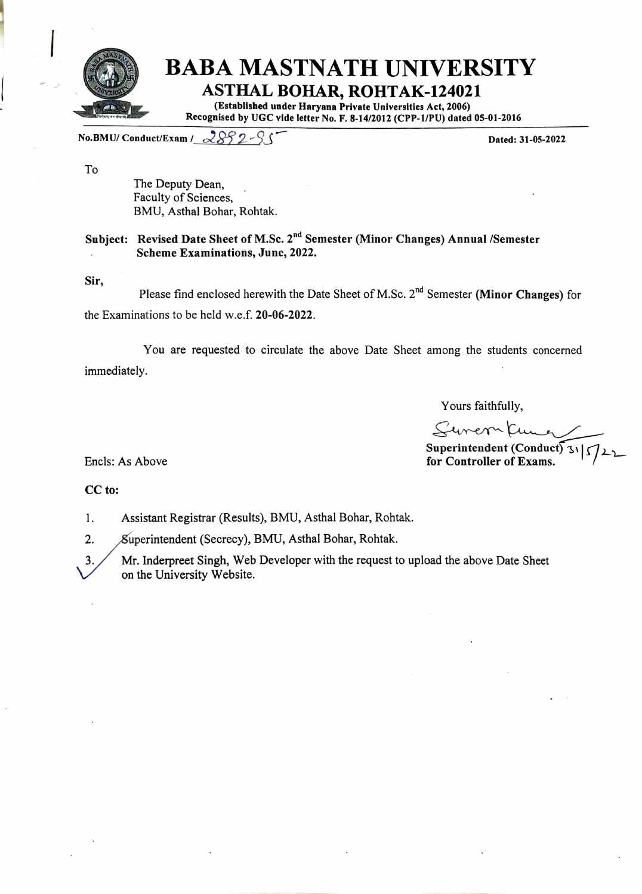

No.BMU/ Conduct/Exam /  $2892-$ S  $\sim$ 

To

The Deputy Dean, Faculty of Sciences, BMU, Asthal Bohar, Rohtak.

## Subject: Revised Date Sheet of M.Sc. 2<sup>nd</sup> Semester (Minor Changes) Annual /Semester Scheme Examinations, June, 2022.

Sir

Please find enclosed herewith the Date Sheet of M.Sc.  $2^{nd}$  Semester (Minor Changes) for the Examinations to be held w.e.f. 20-06-2022.

You are requested to circulate the above Date Sheet among the students concerned immediately.

Yours faithfully,

Surer Kung

Superintendent (Conduct) since  $S$  Superintendent (Conduct) since  $S$  for Controller of Exams.

CC to:

1. Assistant Registrar (Results), BMU, Asthal Bohar, Rohtak.

2. Superintendent (Secrecy), BMU, Asthal Bohar, Rohtak.

3. Mr. Inderpreet Singh, Web Developer with the request to upload the above Date Sheet on the University Website.